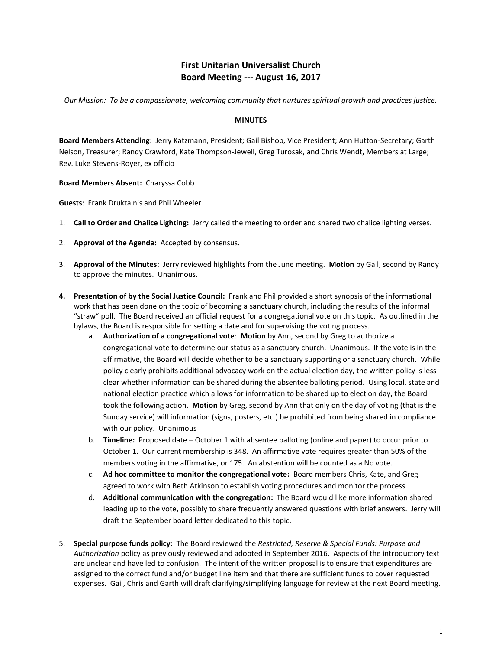# **First Unitarian Universalist Church Board Meeting --- August 16, 2017**

*Our Mission: To be a compassionate, welcoming community that nurtures spiritual growth and practices justice.*

#### **MINUTES**

**Board Members Attending**: Jerry Katzmann, President; Gail Bishop, Vice President; Ann Hutton-Secretary; Garth Nelson, Treasurer; Randy Crawford, Kate Thompson-Jewell, Greg Turosak, and Chris Wendt, Members at Large; Rev. Luke Stevens-Royer, ex officio

**Board Members Absent:** Charyssa Cobb

**Guests**: Frank Druktainis and Phil Wheeler

- 1. **Call to Order and Chalice Lighting:** Jerry called the meeting to order and shared two chalice lighting verses.
- 2. **Approval of the Agenda:** Accepted by consensus.
- 3. **Approval of the Minutes:** Jerry reviewed highlights from the June meeting. **Motion** by Gail, second by Randy to approve the minutes. Unanimous.
- **4. Presentation of by the Social Justice Council:** Frank and Phil provided a short synopsis of the informational work that has been done on the topic of becoming a sanctuary church, including the results of the informal "straw" poll. The Board received an official request for a congregational vote on this topic. As outlined in the bylaws, the Board is responsible for setting a date and for supervising the voting process.
	- a. **Authorization of a congregational vote**: **Motion** by Ann, second by Greg to authorize a congregational vote to determine our status as a sanctuary church. Unanimous. If the vote is in the affirmative, the Board will decide whether to be a sanctuary supporting or a sanctuary church. While policy clearly prohibits additional advocacy work on the actual election day, the written policy is less clear whether information can be shared during the absentee balloting period. Using local, state and national election practice which allows for information to be shared up to election day, the Board took the following action. **Motion** by Greg, second by Ann that only on the day of voting (that is the Sunday service) will information (signs, posters, etc.) be prohibited from being shared in compliance with our policy. Unanimous
	- b. **Timeline:** Proposed date October 1 with absentee balloting (online and paper) to occur prior to October 1. Our current membership is 348. An affirmative vote requires greater than 50% of the members voting in the affirmative, or 175. An abstention will be counted as a No vote.
	- c. **Ad hoc committee to monitor the congregational vote:** Board members Chris, Kate, and Greg agreed to work with Beth Atkinson to establish voting procedures and monitor the process.
	- d. **Additional communication with the congregation:** The Board would like more information shared leading up to the vote, possibly to share frequently answered questions with brief answers. Jerry will draft the September board letter dedicated to this topic.
- 5. **Special purpose funds policy:** The Board reviewed the *Restricted, Reserve & Special Funds: Purpose and Authorization* policy as previously reviewed and adopted in September 2016. Aspects of the introductory text are unclear and have led to confusion. The intent of the written proposal is to ensure that expenditures are assigned to the correct fund and/or budget line item and that there are sufficient funds to cover requested expenses. Gail, Chris and Garth will draft clarifying/simplifying language for review at the next Board meeting.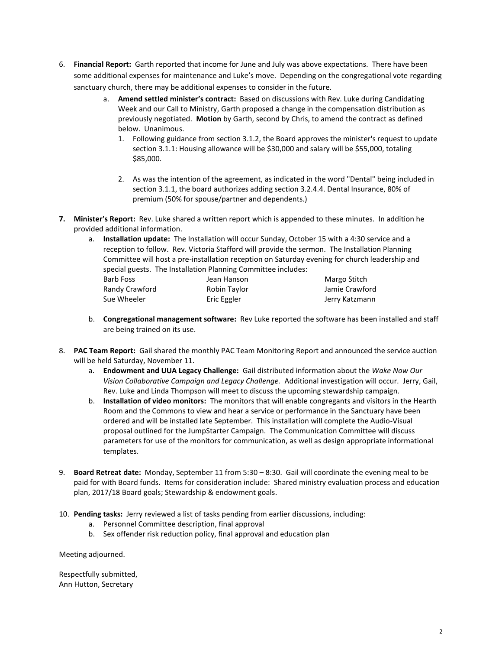- 6. **Financial Report:** Garth reported that income for June and July was above expectations. There have been some additional expenses for maintenance and Luke's move. Depending on the congregational vote regarding sanctuary church, there may be additional expenses to consider in the future.
	- a. **Amend settled minister's contract:** Based on discussions with Rev. Luke during Candidating Week and our Call to Ministry, Garth proposed a change in the compensation distribution as previously negotiated. **Motion** by Garth, second by Chris, to amend the contract as defined below. Unanimous.
		- 1. Following guidance from section 3.1.2, the Board approves the minister's request to update section 3.1.1: Housing allowance will be \$30,000 and salary will be \$55,000, totaling \$85,000.
		- 2. As was the intention of the agreement, as indicated in the word "Dental" being included in section 3.1.1, the board authorizes adding section 3.2.4.4. Dental Insurance, 80% of premium (50% for spouse/partner and dependents.)
- **7. Minister's Report:** Rev. Luke shared a written report which is appended to these minutes. In addition he provided additional information.
	- a. **Installation update:** The Installation will occur Sunday, October 15 with a 4:30 service and a reception to follow. Rev. Victoria Stafford will provide the sermon. The Installation Planning Committee will host a pre-installation reception on Saturday evening for church leadership and special guests. The Installation Planning Committee includes:

| Barb Foss      | Jean Hanson  | Margo Stitch   |
|----------------|--------------|----------------|
| Randy Crawford | Robin Taylor | Jamie Crawford |
| Sue Wheeler    | Eric Eggler  | Jerry Katzmann |

- b. **Congregational management software:** Rev Luke reported the software has been installed and staff are being trained on its use.
- 8. **PAC Team Report:** Gail shared the monthly PAC Team Monitoring Report and announced the service auction will be held Saturday, November 11.
	- a. **Endowment and UUA Legacy Challenge:** Gail distributed information about the *Wake Now Our Vision Collaborative Campaign and Legacy Challenge.* Additional investigation will occur. Jerry, Gail, Rev. Luke and Linda Thompson will meet to discuss the upcoming stewardship campaign.
	- b. **Installation of video monitors:** The monitors that will enable congregants and visitors in the Hearth Room and the Commons to view and hear a service or performance in the Sanctuary have been ordered and will be installed late September. This installation will complete the Audio-Visual proposal outlined for the JumpStarter Campaign. The Communication Committee will discuss parameters for use of the monitors for communication, as well as design appropriate informational templates.
- 9. **Board Retreat date:** Monday, September 11 from 5:30 8:30. Gail will coordinate the evening meal to be paid for with Board funds. Items for consideration include: Shared ministry evaluation process and education plan, 2017/18 Board goals; Stewardship & endowment goals.
- 10. **Pending tasks:** Jerry reviewed a list of tasks pending from earlier discussions, including:
	- a. Personnel Committee description, final approval
	- b. Sex offender risk reduction policy, final approval and education plan

Meeting adjourned.

Respectfully submitted, Ann Hutton, Secretary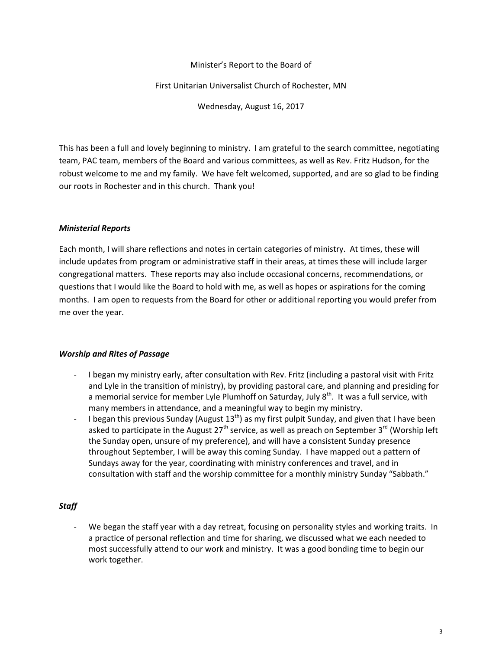### Minister's Report to the Board of

#### First Unitarian Universalist Church of Rochester, MN

Wednesday, August 16, 2017

This has been a full and lovely beginning to ministry. I am grateful to the search committee, negotiating team, PAC team, members of the Board and various committees, as well as Rev. Fritz Hudson, for the robust welcome to me and my family. We have felt welcomed, supported, and are so glad to be finding our roots in Rochester and in this church. Thank you!

#### *Ministerial Reports*

Each month, I will share reflections and notes in certain categories of ministry. At times, these will include updates from program or administrative staff in their areas, at times these will include larger congregational matters. These reports may also include occasional concerns, recommendations, or questions that I would like the Board to hold with me, as well as hopes or aspirations for the coming months. I am open to requests from the Board for other or additional reporting you would prefer from me over the year.

### *Worship and Rites of Passage*

- I began my ministry early, after consultation with Rev. Fritz (including a pastoral visit with Fritz and Lyle in the transition of ministry), by providing pastoral care, and planning and presiding for a memorial service for member Lyle Plumhoff on Saturday, July  $8<sup>th</sup>$ . It was a full service, with many members in attendance, and a meaningful way to begin my ministry.
- I began this previous Sunday (August  $13<sup>th</sup>$ ) as my first pulpit Sunday, and given that I have been asked to participate in the August 27<sup>th</sup> service, as well as preach on September 3<sup>rd</sup> (Worship left the Sunday open, unsure of my preference), and will have a consistent Sunday presence throughout September, I will be away this coming Sunday. I have mapped out a pattern of Sundays away for the year, coordinating with ministry conferences and travel, and in consultation with staff and the worship committee for a monthly ministry Sunday "Sabbath."

### *Staff*

We began the staff year with a day retreat, focusing on personality styles and working traits. In a practice of personal reflection and time for sharing, we discussed what we each needed to most successfully attend to our work and ministry. It was a good bonding time to begin our work together.